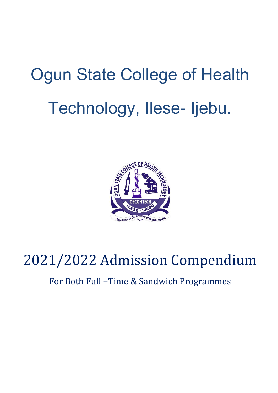# Ogun State College of Health Technology, Ilese- Ijebu.



## 2021/2022 Admission Compendium

### For Both Full –Time & Sandwich Programmes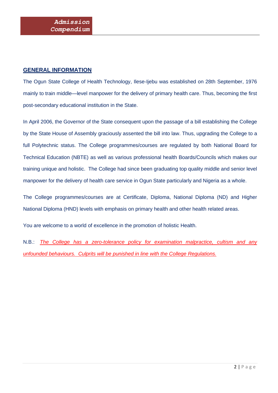#### **GENERAL INFORMATION**

The Ogun State College of Health Technology, Ilese-Ijebu was established on 28th September, 1976 mainly to train middle—level manpower for the delivery of primary health care. Thus, becoming the first post-secondary educational institution in the State.

In April 2006, the Governor of the State consequent upon the passage of a bill establishing the College by the State House of Assembly graciously assented the bill into law. Thus, upgrading the College to a full Polytechnic status. The College programmes/courses are regulated by both National Board for Technical Education (NBTE) as well as various professional health Boards/Councils which makes our training unique and holistic. The College had since been graduating top quality middle and senior level manpower for the delivery of health care service in Ogun State particularly and Nigeria as a whole.

The College programmes/courses are at Certificate, Diploma, National Diploma (ND) and Higher National Diploma (HND) levels with emphasis on primary health and other health related areas.

You are welcome to a world of excellence in the promotion of holistic Health.

N.B.: *The College has a zero-tolerance policy for examination malpractice, cultism and any unfounded behaviours. Culprits will be punished in line with the College Regulations.*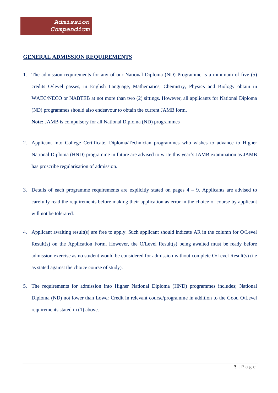#### **GENERAL ADMISSION REQUIREMENTS**

- 1. The admission requirements for any of our National Diploma (ND) Programme is a minimum of five (5) credits O/level passes, in English Language, Mathematics, Chemistry, Physics and Biology obtain in WAEC/NECO or NABTEB at not more than two (2) sittings. However, all applicants for National Diploma (ND) programmes should also endeavour to obtain the current JAMB form. **Note:** JAMB is compulsory for all National Diploma (ND) programmes
- 2. Applicant into College Certificate, Diploma/Technician programmes who wishes to advance to Higher National Diploma (HND) programme in future are advised to write this year's JAMB examination as JAMB has proscribe regularisation of admission.
- 3. Details of each programme requirements are explicitly stated on pages  $4 9$ . Applicants are advised to carefully read the requirements before making their application as error in the choice of course by applicant will not be tolerated.
- 4. Applicant awaiting result(s) are free to apply. Such applicant should indicate AR in the column for O/Level Result(s) on the Application Form. However, the O/Level Result(s) being awaited must be ready before admission exercise as no student would be considered for admission without complete O/Level Result(s) (i.e as stated against the choice course of study).
- 5. The requirements for admission into Higher National Diploma (HND) programmes includes; National Diploma (ND) not lower than Lower Credit in relevant course/programme in addition to the Good O/Level requirements stated in (1) above.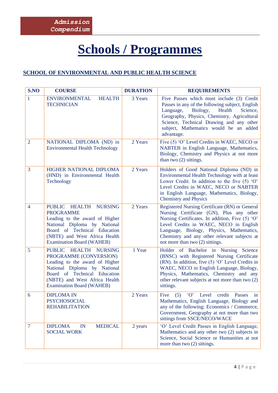### **Schools / Programmes**

#### **SCHOOL OF ENVIRONMENTAL AND PUBLIC HEALTH SCIENCE**

| S.NO           | <b>COURSE</b>                                                                                                                                                                                                              | <b>DURATION</b> | <b>REQUIREMENTS</b>                                                                                                                                                                                                                                                                                                    |
|----------------|----------------------------------------------------------------------------------------------------------------------------------------------------------------------------------------------------------------------------|-----------------|------------------------------------------------------------------------------------------------------------------------------------------------------------------------------------------------------------------------------------------------------------------------------------------------------------------------|
| $\mathbf{1}$   | <b>ENVIRONMENTAL</b><br><b>HEALTH</b><br><b>TECHNICIAN</b>                                                                                                                                                                 | 3 Years         | Five Passes which must include (3) Credit<br>Passes in any of the following subject, English<br>Biology,<br>Language,<br>Health<br>Science.<br>Geography, Physics, Chemistry, Agricultural<br>Science, Technical Drawing and any other<br>subject, Mathematics would be an added<br>advantage.                         |
| $\overline{2}$ | NATIONAL DIPLOMA (ND) in<br><b>Environmental Health Technology</b>                                                                                                                                                         | 2 Years         | Five (5) 'O' Level Credits in WAEC, NECO or<br>NABTEB in English Language, Mathematics,<br>Biology, Chemistry and Physics at not more<br>than two (2) sittings.                                                                                                                                                        |
| 3              | HIGHER NATIONAL DIPLOMA<br>(HND) in Environmental Health<br>Technology                                                                                                                                                     | 2 Years         | Holders of Good National Diploma (ND) in<br>Environmental Health Technology with at least<br>Lower Credit. In addition to the five $(5)$ 'O'<br>Level Credits in WAEC, NECO or NABTEB<br>in English Language, Mathematics, Biology,<br><b>Chemistry and Physics</b>                                                    |
| $\overline{4}$ | PUBLIC HEALTH<br><b>NURSING</b><br><b>PROGRAMME</b><br>Leading to the award of Higher<br>National Diploma by National<br>Board of Technical Education<br>(NBTE) and West Africa Health<br><b>Examination Board (WAHEB)</b> | 2 Years         | Registered Nursing Certificate (RN) or General<br>Nursing Certificate (GN), Plus any other<br>Nursing Certificates. In addition, Five (5) 'O'<br>Level Credits in WAEC, NECO in English<br>Language, Biology, Physics, Mathematics,<br>Chemistry and any other relevant subjects at<br>not more than two (2) sittings. |
| 5              | PUBLIC HEALTH NURSING<br>PROGRAMME (CONVERSION)<br>Leading to the award of Higher<br>National Diploma by National<br>Board of Technical Education<br>(NBTE) and West Africa Health<br><b>Examination Board (WAHEB)</b>     | 1 Year          | Holder of Bachelor in Nursing Science<br>(BNSC) with Registered Nursing Certificate<br>(RN). In addition, five (5) 'O' Level Credits in<br>WAEC, NECO in English Language, Biology,<br>Physics, Mathematics, Chemistry and any<br>other relevant subjects at not more than two (2)<br>sittings.                        |
| 6              | <b>DIPLOMA IN</b><br><b>PSYCHOSOCIAL</b><br><b>REHABILITATION</b>                                                                                                                                                          | 2 Years         | Five (5) 'O' Level credit Passes in<br>Mathematics, English Language, Biology and<br>any of the following: Economics / Commerce,<br>Government, Geography at not more than two<br>sittings from SSCE/NECO/WACE                                                                                                         |
| $\overline{7}$ | <b>MEDICAL</b><br><b>DIPLOMA</b><br>$\mathbb{N}$<br><b>SOCIAL WORK</b>                                                                                                                                                     | 2 years         | 'O' Level Credit Passes in English Language,<br>Mathematics and any other two (2) subjects in<br>Science, Social Science or Humanities at not<br>more than two $(2)$ sittings.                                                                                                                                         |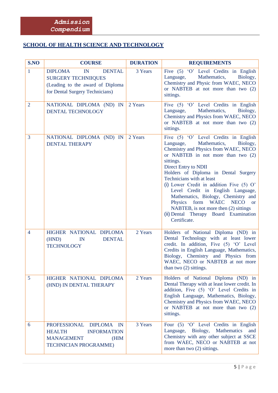#### **SCHOOL OF HEALTH SCIENCE AND TECHNOLOGY**

| S.NO           | <b>COURSE</b>                                                                                                                              | <b>DURATION</b> | <b>REQUIREMENTS</b>                                                                                                                                                                                                                                                                                                                                                                                                                                                                                                                                               |
|----------------|--------------------------------------------------------------------------------------------------------------------------------------------|-----------------|-------------------------------------------------------------------------------------------------------------------------------------------------------------------------------------------------------------------------------------------------------------------------------------------------------------------------------------------------------------------------------------------------------------------------------------------------------------------------------------------------------------------------------------------------------------------|
| $\mathbf{1}$   | <b>DIPLOMA</b><br>IN<br><b>DENTAL</b><br><b>SURGERY TECHNIIQUES</b><br>(Leading to the award of Diploma<br>for Dental Surgery Technicians) | 3 Years         | Five (5) 'O' Level Credits in English<br>Mathematics,<br>Language,<br>Biology,<br>Chemistry and Physic from WAEC, NECO<br>or NABTEB at not more than two (2)<br>sittings.                                                                                                                                                                                                                                                                                                                                                                                         |
| $\overline{2}$ | NATIONAL DIPLOMA (ND) IN<br>DENTAL TECHNOLOGY                                                                                              | 2 Years         | Five (5) 'O' Level Credits in English<br>Mathematics,<br>Language,<br>Biology,<br>Chemistry and Physics from WAEC, NECO<br>or NABTEB at not more than two (2)<br>sittings.                                                                                                                                                                                                                                                                                                                                                                                        |
| $\overline{3}$ | NATIONAL DIPLOMA (ND) IN<br><b>DENTAL THERAPY</b>                                                                                          | 2 Years         | Five (5) 'O' Level Credits in English<br>Mathematics,<br>Language,<br>Biology,<br>Chemistry and Physics from WAEC, NECO<br>or NABTEB in not more than two (2)<br>sittings.<br>Direct Entry to NDII<br>Holders of Diploma in Dental Surgery<br>Technicians with at least<br>(i) Lower Credit in addition Five $(5)$ O'<br>Level Credit in English Language,<br>Mathematics, Biology, Chemistry and<br>form<br><b>WAEC</b><br>Physics<br><b>NECO</b><br><b>or</b><br>NABTEB, is not more then (2) sittings<br>(ii) Dental Therapy Board Examination<br>Certificate. |
| $\overline{4}$ | HIGHER NATIONAL DIPLOMA<br>(HND)<br><b>DENTAL</b><br>IN<br><b>TECHNOLOGY</b>                                                               | 2 Years         | Holders of National Diploma (ND) in<br>Dental Technology with at least lower<br>credit. In addition, Five (5) 'O' Level<br>Credits in English Language, Mathematics,<br>Biology, Chemistry and Physics from<br>WAEC, NECO or NABTEB at not more<br>than two $(2)$ sittings.                                                                                                                                                                                                                                                                                       |
| $\overline{5}$ | HIGHER NATIONAL DIPLOMA<br>(HND) IN DENTAL THERAPY                                                                                         | 2 Years         | Holders of National Diploma (ND) in<br>Dental Therapy with at least lower credit. In<br>addition, Five (5) 'O' Level Credits in<br>English Language, Mathematics, Biology,<br>Chemistry and Physics from WAEC, NECO<br>or NABTEB at not more than two (2)<br>sittings.                                                                                                                                                                                                                                                                                            |
| 6              | <b>PROFESSIONAL</b><br>DIPLOMA IN<br><b>HEALTH</b><br><b>INFORMATION</b><br><b>MANAGEMENT</b><br>(HIM<br><b>TECHNICIAN PROGRAMME)</b>      | 3 Years         | Four (5) 'O' Level Credits in English<br>Mathematics<br>Language,<br>Biology,<br>and<br>Chemistry with any other subject at SSCE<br>from WAEC, NECO or NABTEB at not<br>more than two $(2)$ sittings.                                                                                                                                                                                                                                                                                                                                                             |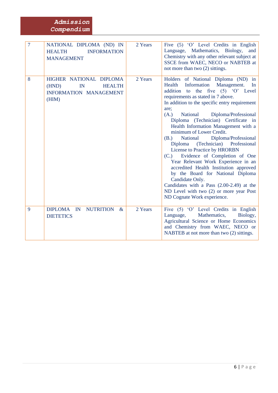#### *Admission Compendium*

| $\overline{7}$ | NATIONAL DIPLOMA (ND) IN<br><b>INFORMATION</b><br><b>HEALTH</b><br><b>MANAGEMENT</b>                 | 2 Years | Five (5) 'O' Level Credits in English<br>Language, Mathematics, Biology,<br>and<br>Chemistry with any other relevant subject at<br>SSCE from WAEC, NECO or NABTEB at<br>not more than two (2) sittings.                                                                                                                                                                                                                                                                                                                                                                                                                                                                                                                                                                                                  |
|----------------|------------------------------------------------------------------------------------------------------|---------|----------------------------------------------------------------------------------------------------------------------------------------------------------------------------------------------------------------------------------------------------------------------------------------------------------------------------------------------------------------------------------------------------------------------------------------------------------------------------------------------------------------------------------------------------------------------------------------------------------------------------------------------------------------------------------------------------------------------------------------------------------------------------------------------------------|
| 8              | HIGHER NATIONAL DIPLOMA<br><b>HEALTH</b><br>(HND)<br>$\mathbb{N}$<br>INFORMATION MANAGEMENT<br>(HIM) | 2 Years | Holders of National Diploma (ND) in<br>Information Management.<br>Health<br>In<br>addition to the five (5) 'O' Level<br>requirements as stated in 7 above.<br>In addition to the specific entry requirement<br>are;<br>(A.)<br>National<br>Diploma/Professional<br>Diploma (Technician) Certificate in<br>Health Information Management with a<br>minimum of Lower Credit.<br>Diploma/Professional<br>National<br>(B.)<br>(Technician) Professional<br>Diploma<br>License to Practice by HRORBN<br>Evidence of Completion of One<br>(C.)<br>Year Relevant Work Experience in an<br>accredited Health Institution approved<br>by the Board for National Diploma<br>Candidate Only.<br>Candidates with a Pass (2.00-2.49) at the<br>ND Level with two (2) or more year Post<br>ND Cognate Work experience. |
| 9              | DIPLOMA IN<br><b>NUTRITION</b><br>$\&$<br><b>DIETETICS</b>                                           | 2 Years | Five (5) 'O' Level Credits in English<br>Mathematics,<br>Language,<br>Biology,<br>Agricultural Science or Home Economics<br>and Chemistry from WAEC, NECO or<br>NABTEB at not more than two (2) sittings.                                                                                                                                                                                                                                                                                                                                                                                                                                                                                                                                                                                                |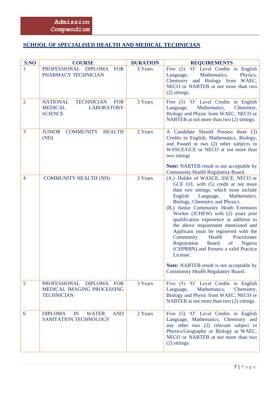#### **SCHOOL OF SPECIALISED HEALTH AND MEDICAL TECHNICIAN**

| S.NO           | <b>COURSE</b>                                                                                               | <b>DURATION</b> | <b>REQUIREMENTS</b>                                                                                                                                                                                                                                                                                                                                                                                                                                                                                                                                                                                                                                                                  |
|----------------|-------------------------------------------------------------------------------------------------------------|-----------------|--------------------------------------------------------------------------------------------------------------------------------------------------------------------------------------------------------------------------------------------------------------------------------------------------------------------------------------------------------------------------------------------------------------------------------------------------------------------------------------------------------------------------------------------------------------------------------------------------------------------------------------------------------------------------------------|
| 1              | PROFESSIONAL DIPLOMA<br><b>FOR</b><br>PHARMACY TECHNICIAN                                                   | 3 Years         | Five (5) 'O' Level Credits in English<br>Mathematics,<br>Physics,<br>Language,<br>Chemistry and Biology from<br>WAEC,<br>NECO or NABTEB at not more than two<br>(2) sittings.                                                                                                                                                                                                                                                                                                                                                                                                                                                                                                        |
| $\overline{2}$ | <b>NATIONAL</b><br><b>TECHNICIAN</b><br><b>FOR</b><br><b>MEDICAL</b><br><b>LABORATORY</b><br><b>SCIENCE</b> | 3 Years         | Five (5) 'O' Level Credits in English<br>Mathematics,<br>Chemistry,<br>Language,<br>Biology and Physic from WAEC, NECO or<br>NABTEB at not more than two (2) sittings.                                                                                                                                                                                                                                                                                                                                                                                                                                                                                                               |
| 3              | <b>JUNIOR</b><br><b>COMMUNITY</b><br><b>HEALTH</b><br>(ND)                                                  | 2 Years         | A Candidate Should Possess three (3)<br>Credits in English, Mathematics, Biology,<br>and Passed in two (2) other subjects in<br>WASCE/GCE or NECO at not more than<br>two sittings<br><b>Note:</b> NABTEB result is not acceptable by                                                                                                                                                                                                                                                                                                                                                                                                                                                |
| $\overline{4}$ | <b>COMMUNITY HEALTH (ND)</b>                                                                                | 3 Years         | Community Health Regulatory Board.<br>(A.) Holder of WASCE, SSCE, NECO or<br>GCE O/L with (5) credit at not more<br>than two sittings, which must include<br>English<br>Language,<br>Mathematics,<br>Biology, Chemistry and Physics.<br>(B.) Junior Community Heath Extension<br>Worker (JCHEW) with (2) years post<br>qualification experience in addition to<br>the above requirement mentioned and<br>Applicant must be registered with the<br>Community<br>Health<br>Practitioner<br>Registration<br><b>Board</b><br>of<br>Nigeria<br>(CHPRBN) and Possess a valid Practice<br>License.<br><b>Note:</b> NABTEB result is not acceptable by<br>Community Health Regulatory Board. |
| 5              | PROFESSIONAL DIPLOMA FOR<br>MEDICAL IMAGING PROCESSING<br><b>TECHNICIAN</b>                                 | 3 Years         | Five (5) 'O' Level Credits in English<br>Mathematics,<br>Language,<br>Chemistry,<br>Biology and Physic from WAEC, NECO or<br>NABTEB at not more than two (2) sittings.                                                                                                                                                                                                                                                                                                                                                                                                                                                                                                               |
| 6              | <b>DIPLOMA</b><br><b>WATER</b><br><b>AND</b><br>IN<br>SANITATION TECHNOLOGY                                 | 2 Years         | Five (5) 'O' Level Credits in English<br>Language, Mathematics, Chemistry and<br>any other two (2) relevant subject in<br>Physics/Geography or Biology at WAEC,<br>NECO or NABTEB at not more than two<br>(2) sittings.                                                                                                                                                                                                                                                                                                                                                                                                                                                              |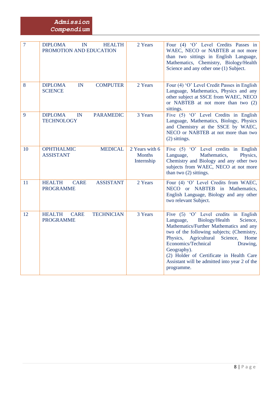#### *Admission Compendium*

| $\overline{7}$ | <b>DIPLOMA</b><br>IN<br><b>HEALTH</b><br>PROMOTION AND EDUCATION      | 2 Years                                       | Four (4) 'O' Level Credits Passes in<br>WAEC, NECO or NABTEB at not more<br>than two sittings in English Language,<br>Mathematics, Chemistry, Biology/Health<br>Science and any other one (1) Subject.                                                                                                                                                                           |
|----------------|-----------------------------------------------------------------------|-----------------------------------------------|----------------------------------------------------------------------------------------------------------------------------------------------------------------------------------------------------------------------------------------------------------------------------------------------------------------------------------------------------------------------------------|
| 8              | <b>DIPLOMA</b><br>IN<br><b>COMPUTER</b><br><b>SCIENCE</b>             | 2 Years                                       | Four (4) 'O' Level Credit Passes in English<br>Language, Mathematics, Physics and any<br>other subject at SSCE from WAEC, NECO<br>or NABTEB at not more than two (2)<br>sittings.                                                                                                                                                                                                |
| 9              | <b>DIPLOMA</b><br><b>PARAMEDIC</b><br>IN<br><b>TECHNOLOGY</b>         | 3 Years                                       | Five (5) 'O' Level Credits in English<br>Language, Mathematics, Biology, Physics<br>and Chemistry at the SSCE by WAEC,<br>NECO or NABTEB at not more than two<br>(2) sittings.                                                                                                                                                                                                   |
| 10             | <b>MEDICAL</b><br><b>OPHTHALMIC</b><br><b>ASSISTANT</b>               | 2 Years with 6<br><b>Months</b><br>Internship | Five $(5)$ 'O' Level credits in English<br>Mathematics,<br>Language,<br>Physics,<br>Chemistry and Biology and any other two<br>subjects from WAEC, NECO at not more<br>than two (2) sittings.                                                                                                                                                                                    |
| 11             | <b>HEALTH</b><br><b>ASSISTANT</b><br><b>CARE</b><br><b>PROGRAMME</b>  | 2 Years                                       | Four (4) 'O' Level Credits from WAEC,<br>NECO or NABTEB in Mathematics,<br>English Language, Biology and any other<br>two relevant Subject.                                                                                                                                                                                                                                      |
| 12             | <b>HEALTH</b><br><b>CARE</b><br><b>TECHNICIAN</b><br><b>PROGRAMME</b> | 3 Years                                       | Five (5) 'O' Level credits in English<br>Biology/Health<br>Science,<br>Language,<br>Mathematics/Further Mathematics and any<br>two of the following subjects; (Chemistry,<br>Physics, Agricultural Science,<br>Home<br>Economics/Technical<br>Drawing,<br>Geography).<br>(2) Holder of Certificate in Health Care<br>Assistant will be admitted into year 2 of the<br>programme. |